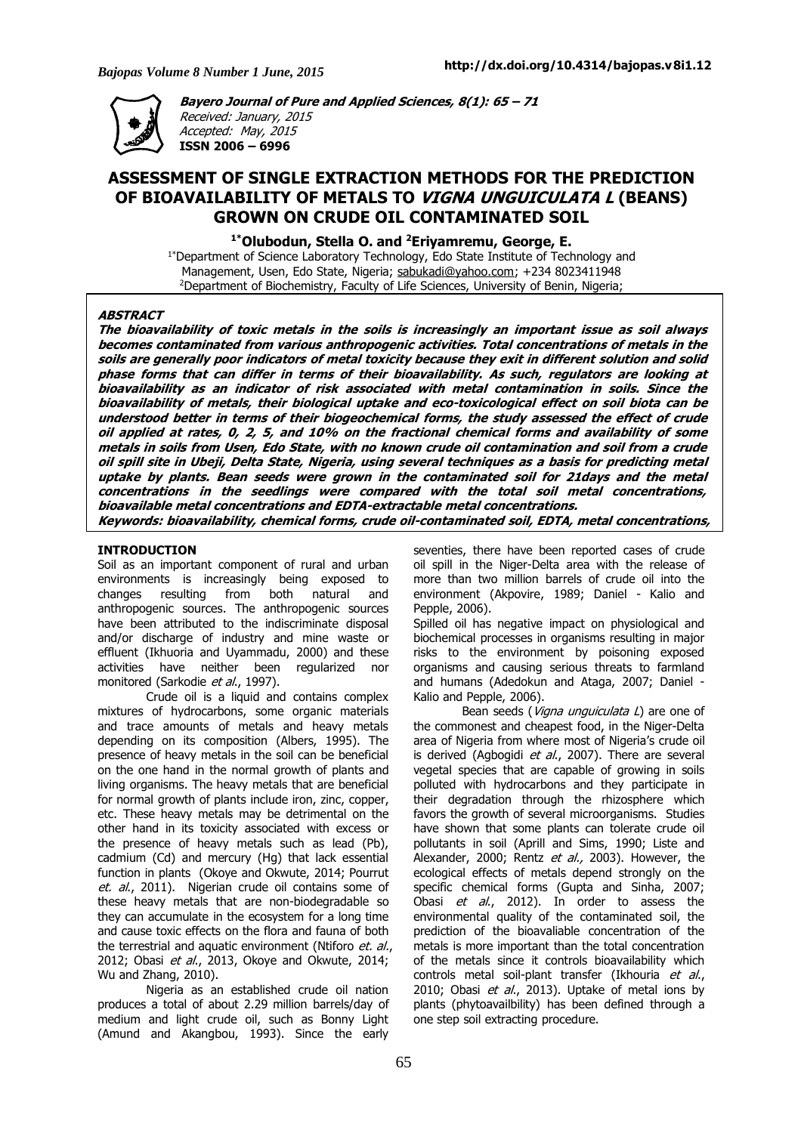Accepted: May, 2015 **ISSN 2006 – 6996**



**Bayero Journal of Pure and Applied Sciences, 8(1): 65 – <sup>71</sup>** Received: January, 2015

# **ASSESSMENT OF SINGLE EXTRACTION METHODS FOR THE PREDICTION OF BIOAVAILABILITY OF METALS TO VIGNA UNGUICULATA <sup>L</sup> (BEANS) GROWN ON CRUDE OIL CONTAMINATED SOIL**

**1\*Olubodun, Stella O. and <sup>2</sup>Eriyamremu, George, E.**

<sup>1\*</sup>Department of Science Laboratory Technology, Edo State Institute of Technology and Management, Usen, Edo State, Nigeria; sabukadi@yahoo.com; +234 8023411948 <sup>2</sup>Department of Biochemistry, Faculty of Life Sciences, University of Benin, Nigeria;

## **ABSTRACT**

The bioavailability of toxic metals in the soils is increasingly an important issue as soil always becomes contaminated from various anthropogenic activities. Total concentrations of metals in the soils are generally poor indicators of metal toxicity because they exit in different solution and solid phase forms that can differ in terms of their bioavailability. As such, regulators are looking at bioavailability as an indicator of risk associated with metal contamination in soils. Since the bioavailability of metals, their biological uptake and eco-toxicological effect on soil biota can be understood better in terms of their biogeochemical forms, the study assessed the effect of crude oil applied at rates, 0, 2, 5, and 10% on the fractional chemical forms and availability of some metals in soils from Usen, Edo State, with no known crude oil contamination and soil from a crude oil spill site in Ubeji, Delta State, Nigeria, using several techniques as a basis for predicting metal uptake by plants. Bean seeds were grown in the contaminated soil for 21days and the metal concentrations in the seedlings were compared with the total soil metal concentrations, **bioavailable metal concentrations and EDTA-extractable metal concentrations.** Keywords: bioavailability, chemical forms, crude oil-contaminated soil, EDTA, metal concentrations,

#### **INTRODUCTION**

Soil as an important component of rural and urban environments is increasingly being exposed to changes resulting from both natural and anthropogenic sources. The anthropogenic sources have been attributed to the indiscriminate disposal and/or discharge of industry and mine waste or effluent (Ikhuoria and Uyammadu, 2000) and these activities have neither been regularized nor monitored (Sarkodie et al., 1997).

Crude oil is a liquid and contains complex mixtures of hydrocarbons, some organic materials and trace amounts of metals and heavy metals depending on its composition (Albers, 1995). The presence of heavy metals in the soil can be beneficial on the one hand in the normal growth of plants and living organisms. The heavy metals that are beneficial for normal growth of plants include iron, zinc, copper, etc. These heavy metals may be detrimental on the other hand in its toxicity associated with excess or the presence of heavy metals such as lead (Pb), cadmium (Cd) and mercury (Hg) that lack essential function in plants (Okoye and Okwute, 2014; Pourrut et. al., 2011). Nigerian crude oil contains some of these heavy metals that are non-biodegradable so they can accumulate in the ecosystem for a long time and cause toxic effects on the flora and fauna of both the terrestrial and aquatic environment (Ntiforo et. al., 2012; Obasi et al., 2013, Okoye and Okwute, 2014; Wu and Zhang, 2010).

Nigeria as an established crude oil nation produces a total of about 2.29 million barrels/day of medium and light crude oil, such as Bonny Light (Amund and Akangbou, 1993). Since the early

seventies, there have been reported cases of crude oil spill in the Niger-Delta area with the release of more than two million barrels of crude oil into the environment (Akpovire, 1989; Daniel - Kalio and Pepple, 2006).

Spilled oil has negative impact on physiological and biochemical processes in organisms resulting in major risks to the environment by poisoning exposed organisms and causing serious threats to farmland and humans (Adedokun and Ataga, 2007; Daniel - Kalio and Pepple, 2006).

Bean seeds (Vigna unguiculata L) are one of the commonest and cheapest food, in the Niger-Delta area of Nigeria from where most of Nigeria's crude oil is derived (Agbogidi et al., 2007). There are several vegetal species that are capable of growing in soils polluted with hydrocarbons and they participate in their degradation through the rhizosphere which favors the growth of several microorganisms. Studies have shown that some plants can tolerate crude oil pollutants in soil (Aprill and Sims, 1990; Liste and Alexander, 2000; Rentz et al., 2003). However, the ecological effects of metals depend strongly on the specific chemical forms (Gupta and Sinha, 2007; Obasi et al., 2012). In order to assess the environmental quality of the contaminated soil, the prediction of the bioavaliable concentration of the metals is more important than the total concentration of the metals since it controls bioavailability which controls metal soil-plant transfer (Ikhouria et al., 2010; Obasi et al., 2013). Uptake of metal ions by plants (phytoavailbility) has been defined through a one step soil extracting procedure.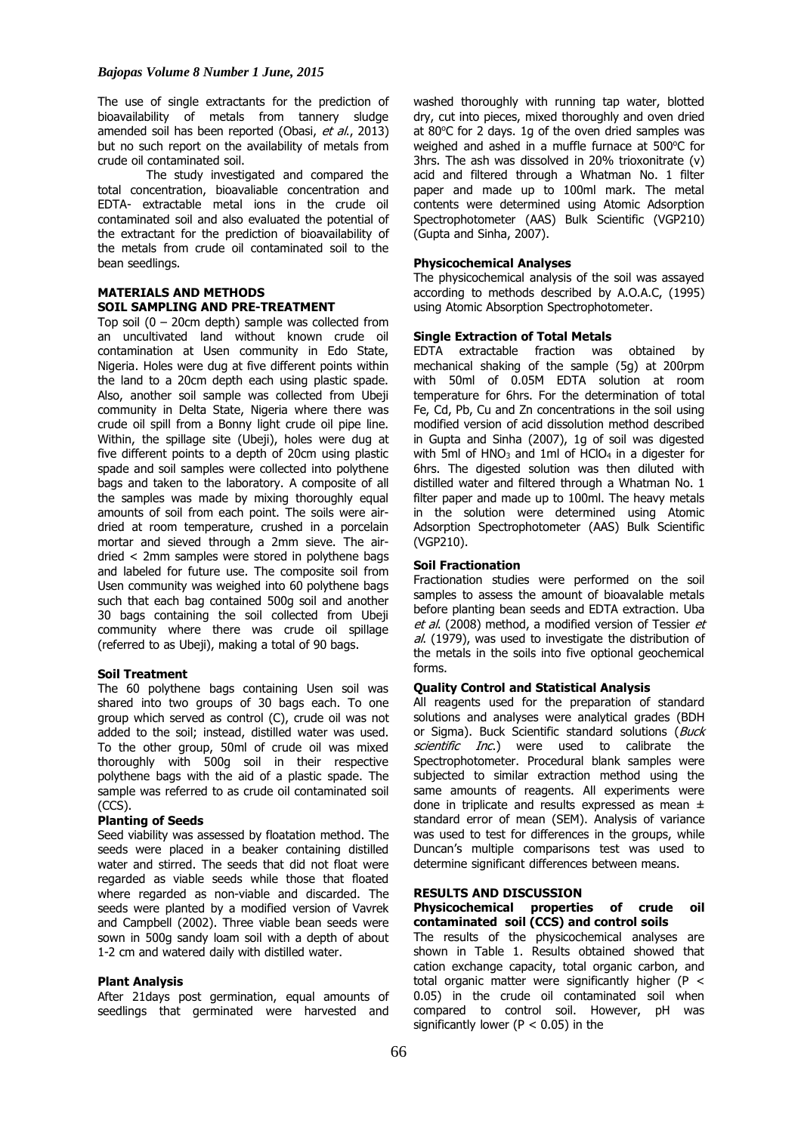The use of single extractants for the prediction of bioavailability of metals from tannery sludge amended soil has been reported (Obasi, et al., 2013) but no such report on the availability of metals from crude oil contaminated soil.

The study investigated and compared the total concentration, bioavaliable concentration and EDTA- extractable metal ions in the crude oil contaminated soil and also evaluated the potential of the extractant for the prediction of bioavailability of the metals from crude oil contaminated soil to the bean seedlings.

# **MATERIALS AND METHODS SOIL SAMPLING AND PRE-TREATMENT**

Top soil  $(0 - 20$ cm depth) sample was collected from an uncultivated land without known crude oil contamination at Usen community in Edo State, Nigeria. Holes were dug at five different points within the land to a 20cm depth each using plastic spade. Also, another soil sample was collected from Ubeji community in Delta State, Nigeria where there was crude oil spill from a Bonny light crude oil pipe line. Within, the spillage site (Ubeji), holes were dug at five different points to a depth of 20cm using plastic spade and soil samples were collected into polythene bags and taken to the laboratory. A composite of all the samples was made by mixing thoroughly equal amounts of soil from each point. The soils were airdried at room temperature, crushed in a porcelain mortar and sieved through a 2mm sieve. The airdried < 2mm samples were stored in polythene bags and labeled for future use. The composite soil from Usen community was weighed into 60 polythene bags such that each bag contained 500g soil and another 30 bags containing the soil collected from Ubeji community where there was crude oil spillage (referred to as Ubeji), making a total of 90 bags.

# **Soil Treatment**

The 60 polythene bags containing Usen soil was shared into two groups of 30 bags each. To one group which served as control (C), crude oil was not added to the soil; instead, distilled water was used. To the other group, 50ml of crude oil was mixed thoroughly with 500g soil in their respective polythene bags with the aid of a plastic spade. The sample was referred to as crude oil contaminated soil (CCS).

#### **Planting of Seeds**

Seed viability was assessed by floatation method. The seeds were placed in a beaker containing distilled water and stirred. The seeds that did not float were regarded as viable seeds while those that floated where regarded as non-viable and discarded. The seeds were planted by a modified version of Vavrek and Campbell (2002). Three viable bean seeds were sown in 500g sandy loam soil with a depth of about 1-2 cm and watered daily with distilled water.

#### **Plant Analysis**

After 21days post germination, equal amounts of seedlings that germinated were harvested and

washed thoroughly with running tap water, blotted dry, cut into pieces, mixed thoroughly and oven dried at 80 $^{\circ}$ C for 2 days. 1g of the oven dried samples was weighed and ashed in a muffle furnace at  $500^{\circ}$ C for 3hrs. The ash was dissolved in 20% trioxonitrate (v) acid and filtered through a Whatman No. 1 filter paper and made up to 100ml mark. The metal contents were determined using Atomic Adsorption Spectrophotometer (AAS) Bulk Scientific (VGP210) (Gupta and Sinha, 2007).

## **Physicochemical Analyses**

The physicochemical analysis of the soil was assayed according to methods described by A.O.A.C, (1995) using Atomic Absorption Spectrophotometer.

## **Single Extraction of Total Metals**

EDTA extractable fraction was obtained by mechanical shaking of the sample (5g) at 200rpm with 50ml of 0.05M EDTA solution at room temperature for 6hrs. For the determination of total Fe, Cd, Pb, Cu and Zn concentrations in the soil using modified version of acid dissolution method described in Gupta and Sinha (2007), 1g of soil was digested with 5ml of  $HNO<sub>3</sub>$  and 1ml of  $HClO<sub>4</sub>$  in a digester for 6hrs. The digested solution was then diluted with distilled water and filtered through a Whatman No. 1 filter paper and made up to 100ml. The heavy metals in the solution were determined using Atomic Adsorption Spectrophotometer (AAS) Bulk Scientific (VGP210).

#### **Soil Fractionation**

Fractionation studies were performed on the soil samples to assess the amount of bioavalable metals before planting bean seeds and EDTA extraction. Uba et al. (2008) method, a modified version of Tessier et al. (1979), was used to investigate the distribution of the metals in the soils into five optional geochemical forms.

## **Quality Control and Statistical Analysis**

All reagents used for the preparation of standard solutions and analyses were analytical grades (BDH or Sigma). Buck Scientific standard solutions (Buck scientific Inc.) were used to calibrate the Spectrophotometer. Procedural blank samples were subjected to similar extraction method using the same amounts of reagents. All experiments were done in triplicate and results expressed as mean ± standard error of mean (SEM). Analysis of variance was used to test for differences in the groups, while Duncan's multiple comparisons test was used to determine significant differences between means.

# **RESULTS AND DISCUSSION**

#### **Physicochemical properties of crude oil contaminated soil (CCS) and control soils**

The results of the physicochemical analyses are shown in Table 1. Results obtained showed that cation exchange capacity, total organic carbon, and total organic matter were significantly higher ( $P <$ 0.05) in the crude oil contaminated soil when compared to control soil. However, pH was significantly lower ( $P < 0.05$ ) in the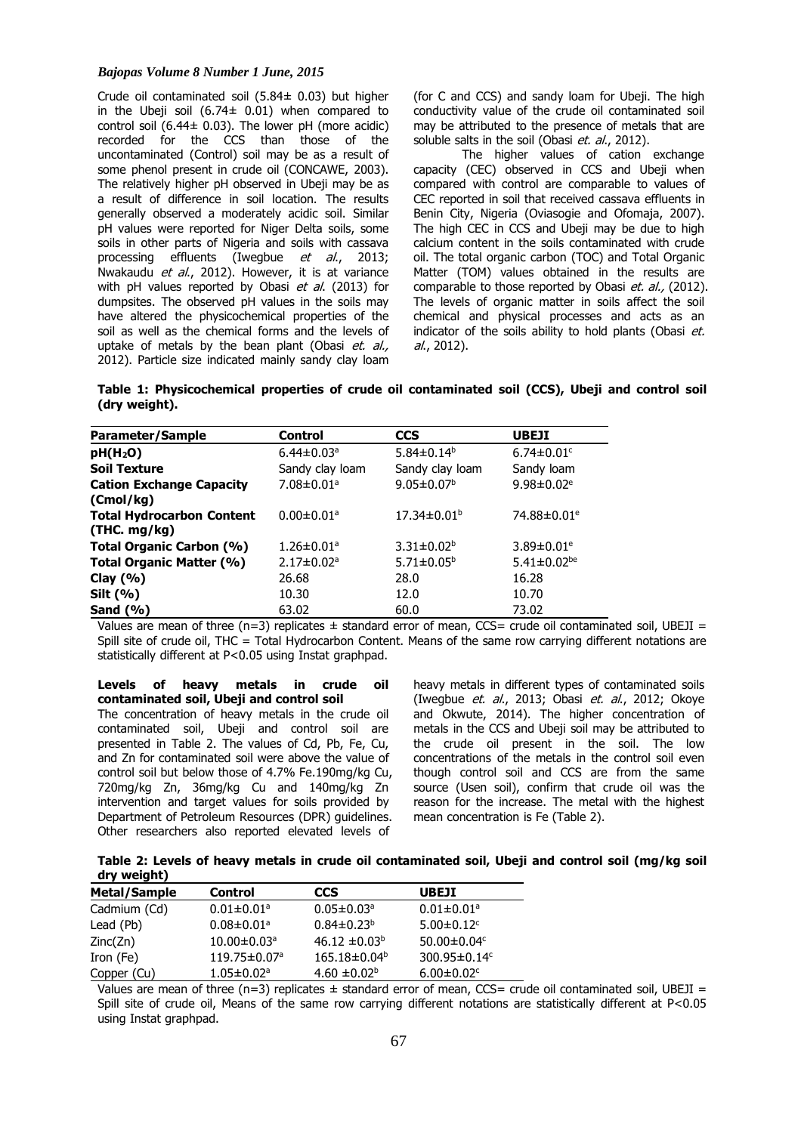# *Bajopas Volume 8 Number 1 June, 2015*

Crude oil contaminated soil (5.84± 0.03) but higher in the Ubeji soil  $(6.74 \pm 0.01)$  when compared to control soil (6.44 $\pm$  0.03). The lower pH (more acidic) recorded for the CCS than those of the uncontaminated (Control) soil may be as a result of some phenol present in crude oil (CONCAWE, 2003). The relatively higher pH observed in Ubeji may be as a result of difference in soil location. The results generally observed a moderately acidic soil. Similar pH values were reported for Niger Delta soils, some soils in other parts of Nigeria and soils with cassava processing effluents (Iwegbue *et al.*, 2013; Nwakaudu *et al.*, 2012). However, it is at variance with pH values reported by Obasi et al. (2013) for dumpsites. The observed pH values in the soils may have altered the physicochemical properties of the soil as well as the chemical forms and the levels of uptake of metals by the bean plant (Obasi et. al., 2012). Particle size indicated mainly sandy clay loam

(for C and CCS) and sandy loam for Ubeji. The high conductivity value of the crude oil contaminated soil may be attributed to the presence of metals that are soluble salts in the soil (Obasi et. al., 2012).

The higher values of cation exchange capacity (CEC) observed in CCS and Ubeji when compared with control are comparable to values of CEC reported in soil that received cassava effluents in Benin City, Nigeria (Oviasogie and Ofomaja, 2007). The high CEC in CCS and Ubeji may be due to high calcium content in the soils contaminated with crude oil. The total organic carbon (TOC) and Total Organic Matter (TOM) values obtained in the results are comparable to those reported by Obasi et. al., (2012). The levels of organic matter in soils affect the soil chemical and physical processes and acts as an indicator of the soils ability to hold plants (Obasi et. al., 2012).

**Table 1: Physicochemical properties of crude oil contaminated soil (CCS), Ubeji and control soil (dry weight).**

| Parameter/Sample                                 | <b>Control</b>               | <b>CCS</b>                   | <b>UBEJI</b>                  |
|--------------------------------------------------|------------------------------|------------------------------|-------------------------------|
| pH(H <sub>2</sub> O)                             | $6.44 \pm 0.03$ <sup>a</sup> | 5.84 $\pm$ 0.14 <sup>b</sup> | $6.74 \pm 0.01$ <sup>c</sup>  |
| Soil Texture                                     | Sandy clay loam              | Sandy clay loam              | Sandy loam                    |
| <b>Cation Exchange Capacity</b><br>(Cmol/kg)     | $7.08 \pm 0.01$ <sup>a</sup> | $9.05 \pm 0.07^{\rm b}$      | 9.98 $\pm$ 0.02 <sup>e</sup>  |
| <b>Total Hydrocarbon Content</b><br>(THC. mg/kg) | $0.00 \pm 0.01$ <sup>a</sup> | $17.34 \pm 0.01^{\rm b}$     | 74.88±0.01 <sup>e</sup>       |
| Total Organic Carbon (%)                         | $1.26 \pm 0.01$ <sup>a</sup> | $3.31 \pm 0.02^b$            | 3.89 $\pm$ 0.01 <sup>e</sup>  |
| Total Organic Matter (%)                         | $2.17 \pm 0.02$ <sup>a</sup> | $5.71 \pm 0.05^{\circ}$      | 5.41 $\pm$ 0.02 <sup>be</sup> |
| Clay (%)                                         | 26.68                        | 28.0                         | 16.28                         |
| Silt (%)                                         | 10.30                        | 12.0                         | 10.70                         |
| Sand (%)                                         | 63.02                        | 60.0                         | 73.02                         |

Values are mean of three (n=3) replicates  $\pm$  standard error of mean, CCS= crude oil contaminated soil, UBEJI = Spill site of crude oil, THC = Total Hydrocarbon Content. Means of the same row carrying different notations are statistically different at P<0.05 using Instat graphpad.

**Levels of heavy metals in crude oil contaminated soil, Ubeji and control soil** The concentration of heavy metals in the crude oil contaminated soil, Ubeji and control soil are presented in Table 2. The values of Cd, Pb, Fe, Cu, and Zn for contaminated soil were above the value of control soil but below those of 4.7% Fe.190mg/kg Cu, 720mg/kg Zn, 36mg/kg Cu and 140mg/kg Zn intervention and target values for soils provided by Department of Petroleum Resources (DPR) guidelines. Other researchers also reported elevated levels of

heavy metals in different types of contaminated soils (Iwegbue *et. al.*, 2013; Obasi *et. al.*, 2012; Okoye and Okwute, 2014). The higher concentration of metals in the CCS and Ubeji soil may be attributed to the crude oil present in the soil. The low concentrations of the metals in the control soil even though control soil and CCS are from the same source (Usen soil), confirm that crude oil was the reason for the increase. The metal with the highest mean concentration is Fe (Table 2).

| Table 2: Levels of heavy metals in crude oil contaminated soil, Ubeji and control soil (mg/kg soil |  |  |  |
|----------------------------------------------------------------------------------------------------|--|--|--|
| dry weight)                                                                                        |  |  |  |

| Metal/Sample | Control                        | CCS                          | <b>UBEJI</b>                 |
|--------------|--------------------------------|------------------------------|------------------------------|
| Cadmium (Cd) | $0.01 \pm 0.01$ <sup>a</sup>   | $0.05 \pm 0.03$ <sup>a</sup> | $0.01 \pm 0.01$ <sup>a</sup> |
| Lead (Pb)    | $0.08 \pm 0.01^a$              | $0.84 \pm 0.23^b$            | $5.00 \pm 0.12$ <sup>c</sup> |
| Zinc(Zn)     | $10.00 \pm 0.03$ <sup>a</sup>  | $46.12 \pm 0.03^b$           | 50.00 $\pm$ 0.04 $\rm{c}$    |
| Iron (Fe)    | $119.75 \pm 0.07$ <sup>a</sup> | 165.18±0.04 <sup>b</sup>     | 300.95±0.14c                 |
| Copper (Cu)  | $1.05 \pm 0.02$ <sup>a</sup>   | 4.60 $\pm$ 0.02 <sup>b</sup> | $6.00 \pm 0.02$ <sup>c</sup> |

Values are mean of three (n=3) replicates  $\pm$  standard error of mean, CCS= crude oil contaminated soil, UBEJI = Spill site of crude oil, Means of the same row carrying different notations are statistically different at P<0.05 using Instat graphpad.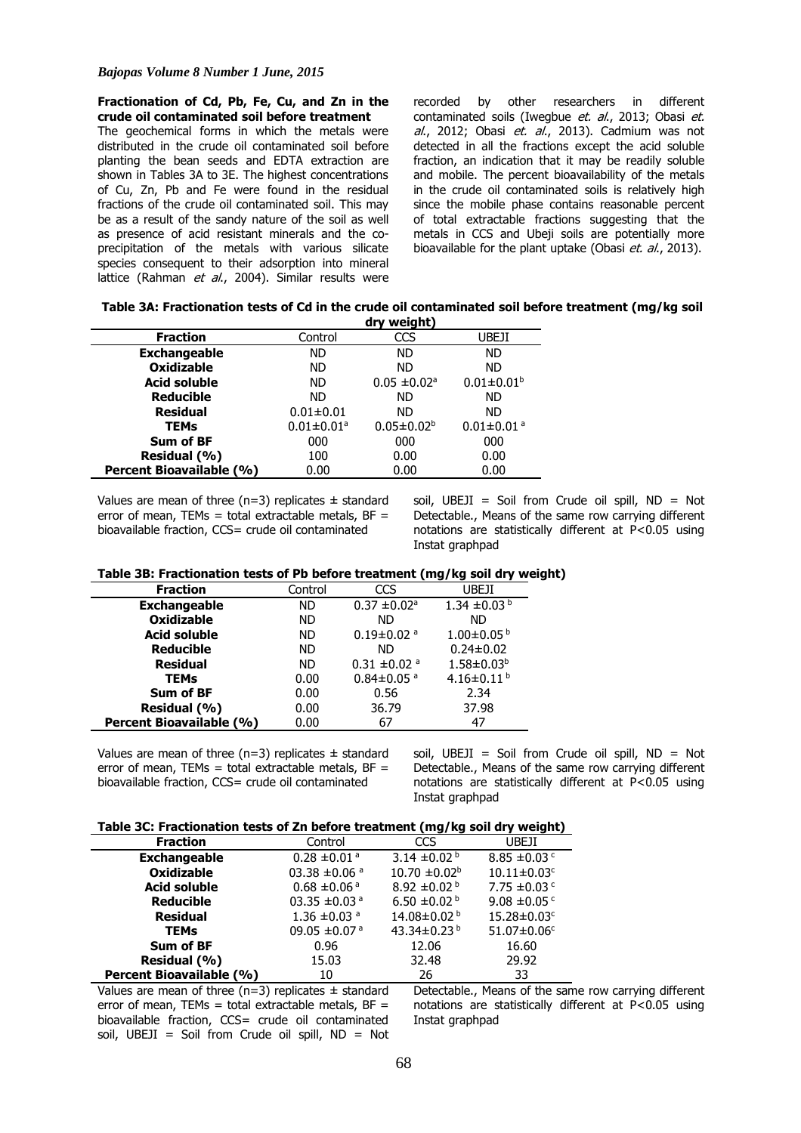#### **Fractionation of Cd, Pb, Fe, Cu, and Zn in the crude oil contaminated soil before treatment**

The geochemical forms in which the metals were distributed in the crude oil contaminated soil before planting the bean seeds and EDTA extraction are shown in Tables 3A to 3E. The highest concentrations of Cu, Zn, Pb and Fe were found in the residual fractions of the crude oil contaminated soil. This may be as a result of the sandy nature of the soil as well as presence of acid resistant minerals and the coprecipitation of the metals with various silicate species consequent to their adsorption into mineral lattice (Rahman et al., 2004). Similar results were recorded by other researchers in different contaminated soils (Iwegbue et. al., 2013; Obasi et.  $al.$ , 2012; Obasi et.  $al.$ , 2013). Cadmium was not detected in all the fractions except the acid soluble fraction, an indication that it may be readily soluble and mobile. The percent bioavailability of the metals in the crude oil contaminated soils is relatively high since the mobile phase contains reasonable percent of total extractable fractions suggesting that the metals in CCS and Ubeji soils are potentially more bioavailable for the plant uptake (Obasi et. al., 2013).

| Table 3A: Fractionation tests of Cd in the crude oil contaminated soil before treatment (mg/kg soil |             |  |  |  |
|-----------------------------------------------------------------------------------------------------|-------------|--|--|--|
|                                                                                                     | dry weight) |  |  |  |

|                          |                              | -----                        |                              |
|--------------------------|------------------------------|------------------------------|------------------------------|
| <b>Fraction</b>          | Control                      | CCS                          | UBEJI                        |
| <b>Exchangeable</b>      | ND.                          | <b>ND</b>                    | <b>ND</b>                    |
| <b>Oxidizable</b>        | ND.                          | ND                           | <b>ND</b>                    |
| <b>Acid soluble</b>      | ND.                          | $0.05 \pm 0.02$ <sup>a</sup> | $0.01 \pm 0.01$ <sup>b</sup> |
| <b>Reducible</b>         | ND.                          | ND                           | <b>ND</b>                    |
| <b>Residual</b>          | $0.01 \pm 0.01$              | ND.                          | ND.                          |
| TEMs                     | $0.01 \pm 0.01$ <sup>a</sup> | $0.05 \pm 0.02^b$            | $0.01 \pm 0.01$ <sup>a</sup> |
| Sum of BF                | 000                          | 000                          | 000                          |
| Residual (%)             | 100                          | 0.00                         | 0.00                         |
| Percent Bioavailable (%) | 0.00                         | 0.00                         | 0.00                         |

Values are mean of three ( $n=3$ ) replicates  $\pm$  standard error of mean, TEMs = total extractable metals,  $BF =$ bioavailable fraction, CCS= crude oil contaminated

soil, UBEJI = Soil from Crude oil spill, ND = Not Detectable., Means of the same row carrying different notations are statistically different at P<0.05 using Instat graphpad

#### **Table 3B: Fractionation tests of Pb before treatment (mg/kg soil dry weight)**

| <b>Fraction</b>          | Control | CCS                          | UBEJI                        |
|--------------------------|---------|------------------------------|------------------------------|
| <b>Exchangeable</b>      | ND      | $0.37 \pm 0.02$ <sup>a</sup> | 1.34 $\pm$ 0.03 <sup>b</sup> |
| <b>Oxidizable</b>        | ND.     | <b>ND</b>                    | <b>ND</b>                    |
| <b>Acid soluble</b>      | ND.     | $0.19 \pm 0.02$ <sup>a</sup> | $1.00 \pm 0.05^{b}$          |
| <b>Reducible</b>         | ND.     | <b>ND</b>                    | $0.24 \pm 0.02$              |
| <b>Residual</b>          | ND.     | $0.31 \pm 0.02$ <sup>a</sup> | $1.58 \pm 0.03^b$            |
| <b>TEMs</b>              | 0.00    | $0.84 \pm 0.05$ <sup>a</sup> | 4.16±0.11 $b$                |
| Sum of BF                | 0.00    | 0.56                         | 2.34                         |
| Residual (%)             | 0.00    | 36.79                        | 37.98                        |
| Percent Bioavailable (%) | 0.00    | 67                           | 47                           |

Values are mean of three ( $n=3$ ) replicates  $\pm$  standard error of mean, TEMs = total extractable metals,  $BF =$ bioavailable fraction, CCS= crude oil contaminated

soil, UBEJI = Soil from Crude oil spill, ND = Not Detectable., Means of the same row carrying different notations are statistically different at P<0.05 using Instat graphpad

#### **Table 3C: Fractionation tests of Zn before treatment (mg/kg soil dry weight)**

|                          |                              | - -                          | - -                           |
|--------------------------|------------------------------|------------------------------|-------------------------------|
| <b>Fraction</b>          | Control                      | <b>CCS</b>                   | UBEJI                         |
| <b>Exchangeable</b>      | $0.28 \pm 0.01$ <sup>a</sup> | 3.14 $\pm$ 0.02 <sup>b</sup> | 8.85 $\pm$ 0.03 $\degree$     |
| <b>Oxidizable</b>        | 03.38 $\pm$ 0.06 $a$         | $10.70 \pm 0.02^{\circ}$     | $10.11 \pm 0.03$ <sup>c</sup> |
| <b>Acid soluble</b>      | $0.68 \pm 0.06$ <sup>a</sup> | 8.92 $\pm$ 0.02 $^{\rm b}$   | 7.75 $\pm$ 0.03 $\degree$     |
| <b>Reducible</b>         | 03.35 $\pm$ 0.03 $a$         | 6.50 $\pm$ 0.02 b            | 9.08 $\pm$ 0.05 $\degree$     |
| <b>Residual</b>          | 1.36 $\pm$ 0.03 $a$          | 14.08±0.02 <sup>b</sup>      | 15.28±0.03c                   |
| <b>TEMs</b>              | 09.05 $\pm$ 0.07 $^{\circ}$  | 43.34±0.23 <sup>b</sup>      | $51.07 \pm 0.06$ <sup>c</sup> |
| <b>Sum of BF</b>         | 0.96                         | 12.06                        | 16.60                         |
| Residual (%)             | 15.03                        | 32.48                        | 29.92                         |
| Percent Bioavailable (%) | 10                           | 26                           | 33                            |

Values are mean of three ( $n=3$ ) replicates  $\pm$  standard error of mean, TEMs = total extractable metals,  $BF =$ bioavailable fraction, CCS= crude oil contaminated soil, UBEJI = Soil from Crude oil spill, ND = Not Detectable., Means of the same row carrying different notations are statistically different at P<0.05 using Instat graphpad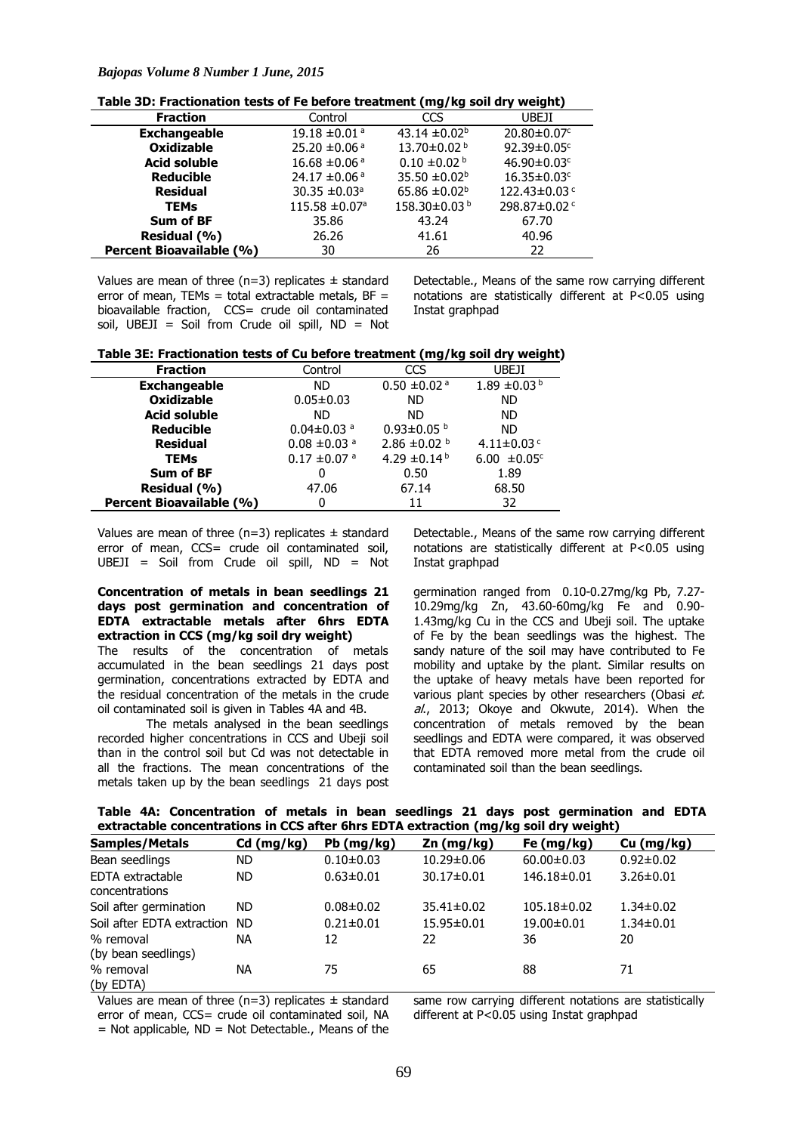# *Bajopas Volume 8 Number 1 June, 2015*

**Table 3D: Fractionation tests of Fe before treatment (mg/kg soil dry weight)**

| <b>Fraction</b>          | Control                        | CCS                           | UBEJI                         |
|--------------------------|--------------------------------|-------------------------------|-------------------------------|
| <b>Exchangeable</b>      | 19.18 $\pm$ 0.01 $^{\circ}$    | 43.14 $\pm$ 0.02 <sup>b</sup> | $20.80 \pm 0.07$ <sup>c</sup> |
| <b>Oxidizable</b>        | 25.20 $\pm$ 0.06 <sup>a</sup>  | 13.70±0.02 <sup>b</sup>       | 92.39±0.05c                   |
| <b>Acid soluble</b>      | 16.68 $\pm$ 0.06 <sup>a</sup>  | $0.10 \pm 0.02$ <sup>b</sup>  | 46.90 $\pm$ 0.03 $\text{c}$   |
| <b>Reducible</b>         | 24.17 $\pm$ 0.06 <sup>a</sup>  | 35.50 $\pm$ 0.02 <sup>b</sup> | $16.35 \pm 0.03$ <sup>c</sup> |
| <b>Residual</b>          | 30.35 $\pm$ 0.03 <sup>a</sup>  | 65.86 $\pm 0.02^{\text{b}}$   | 122.43±0.03c                  |
| <b>TEMs</b>              | $115.58 \pm 0.07$ <sup>a</sup> | 158.30±0.03b                  | 298.87±0.02 c                 |
| <b>Sum of BF</b>         | 35.86                          | 43.24                         | 67.70                         |
| Residual (%)             | 26.26                          | 41.61                         | 40.96                         |
| Percent Bioavailable (%) | 30                             | 26                            | 22                            |

Values are mean of three ( $n=3$ ) replicates  $\pm$  standard error of mean, TEMs = total extractable metals,  $BF =$ bioavailable fraction, CCS= crude oil contaminated soil, UBEJI = Soil from Crude oil spill,  $ND = Not$  Detectable., Means of the same row carrying different notations are statistically different at  $P < 0.05$  using Instat graphpad

| Table 3E: Fractionation tests of Cu before treatment (mg/kg soil dry weight) |  |  |  |  |  |  |
|------------------------------------------------------------------------------|--|--|--|--|--|--|
|------------------------------------------------------------------------------|--|--|--|--|--|--|

| <b>Fraction</b>          | Control                      | CCS                          | UBEJI                        |
|--------------------------|------------------------------|------------------------------|------------------------------|
| <b>Exchangeable</b>      | ND.                          | $0.50 \pm 0.02$ <sup>a</sup> | 1.89 $\pm$ 0.03 <sup>b</sup> |
| <b>Oxidizable</b>        | $0.05 \pm 0.03$              | <b>ND</b>                    | <b>ND</b>                    |
| <b>Acid soluble</b>      | ND.                          | ND.                          | <b>ND</b>                    |
| <b>Reducible</b>         | $0.04 \pm 0.03$ <sup>a</sup> | $0.93 \pm 0.05$ b            | <b>ND</b>                    |
| <b>Residual</b>          | $0.08 \pm 0.03$ <sup>a</sup> | 2.86 $\pm$ 0.02 b            | 4.11 $\pm$ 0.03 $\degree$    |
| <b>TEMs</b>              | $0.17 \pm 0.07$ <sup>a</sup> | 4.29 $\pm$ 0.14 <sup>b</sup> | 6.00 $\pm 0.05$ <sup>c</sup> |
| Sum of BF                | 0                            | 0.50                         | 1.89                         |
| Residual (%)             | 47.06                        | 67.14                        | 68.50                        |
| Percent Bioavailable (%) | 0                            | 11                           | 32                           |

Values are mean of three ( $n=3$ ) replicates  $\pm$  standard error of mean, CCS= crude oil contaminated soil,  $UBEJI = Soil from Crude oil spill, ND = Not$ 

**Concentration of metals in bean seedlings 21 days post germination and concentration of EDTA extractable metals after 6hrs EDTA extraction in CCS (mg/kg soil dry weight)**

The results of the concentration of metals accumulated in the bean seedlings 21 days post germination, concentrations extracted by EDTA and the residual concentration of the metals in the crude oil contaminated soil is given in Tables 4A and 4B.

The metals analysed in the bean seedlings recorded higher concentrations in CCS and Ubeji soil than in the control soil but Cd was not detectable in all the fractions. The mean concentrations of the metals taken up by the bean seedlings 21 days post

Detectable., Means of the same row carrying different notations are statistically different at P<0.05 using Instat graphpad

germination ranged from 0.10-0.27mg/kg Pb, 7.27- 10.29mg/kg Zn, 43.60-60mg/kg Fe and 0.90- 1.43mg/kg Cu in the CCS and Ubeji soil. The uptake of Fe by the bean seedlings was the highest. The sandy nature of the soil may have contributed to Fe mobility and uptake by the plant. Similar results on the uptake of heavy metals have been reported for various plant species by other researchers (Obasi et. al., 2013; Okoye and Okwute, 2014). When the concentration of metals removed by the bean seedlings and EDTA were compared, it was observed that EDTA removed more metal from the crude oil contaminated soil than the bean seedlings.

|  | Table 4A: Concentration of metals in bean seedlings 21 days post germination and EDTA |  |  |  |  |  |  |
|--|---------------------------------------------------------------------------------------|--|--|--|--|--|--|
|  | extractable concentrations in CCS after 6hrs EDTA extraction (mg/kg soil dry weight)  |  |  |  |  |  |  |

| <b>Samples/Metals</b>              | $Cd$ (mg/kg) | Pb (mg/kg)      | $Zn$ (mg/kg)     | Fe $(mg/kg)$      | Cu (mg/kg)      |
|------------------------------------|--------------|-----------------|------------------|-------------------|-----------------|
| Bean seedlings                     | ND.          | $0.10 \pm 0.03$ | $10.29 \pm 0.06$ | $60.00 \pm 0.03$  | $0.92 \pm 0.02$ |
| EDTA extractable<br>concentrations | ND.          | $0.63 \pm 0.01$ | $30.17 \pm 0.01$ | 146.18±0.01       | $3.26 \pm 0.01$ |
| Soil after germination             | ND.          | $0.08 \pm 0.02$ | $35.41 \pm 0.02$ | $105.18 \pm 0.02$ | $1.34 \pm 0.02$ |
| Soil after EDTA extraction         | ND.          | $0.21 \pm 0.01$ | 15.95±0.01       | 19.00±0.01        | $1.34 \pm 0.01$ |
| % removal<br>(by bean seedlings)   | <b>NA</b>    | 12              | 22               | 36                | 20              |
| % removal<br>(by EDTA)             | ΝA           | 75              | 65               | 88                | 71              |

Values are mean of three (n=3) replicates  $\pm$  standard error of mean, CCS= crude oil contaminated soil, NA  $=$  Not applicable, ND  $=$  Not Detectable., Means of the same row carrying different notations are statistically different at P<0.05 using Instat graphpad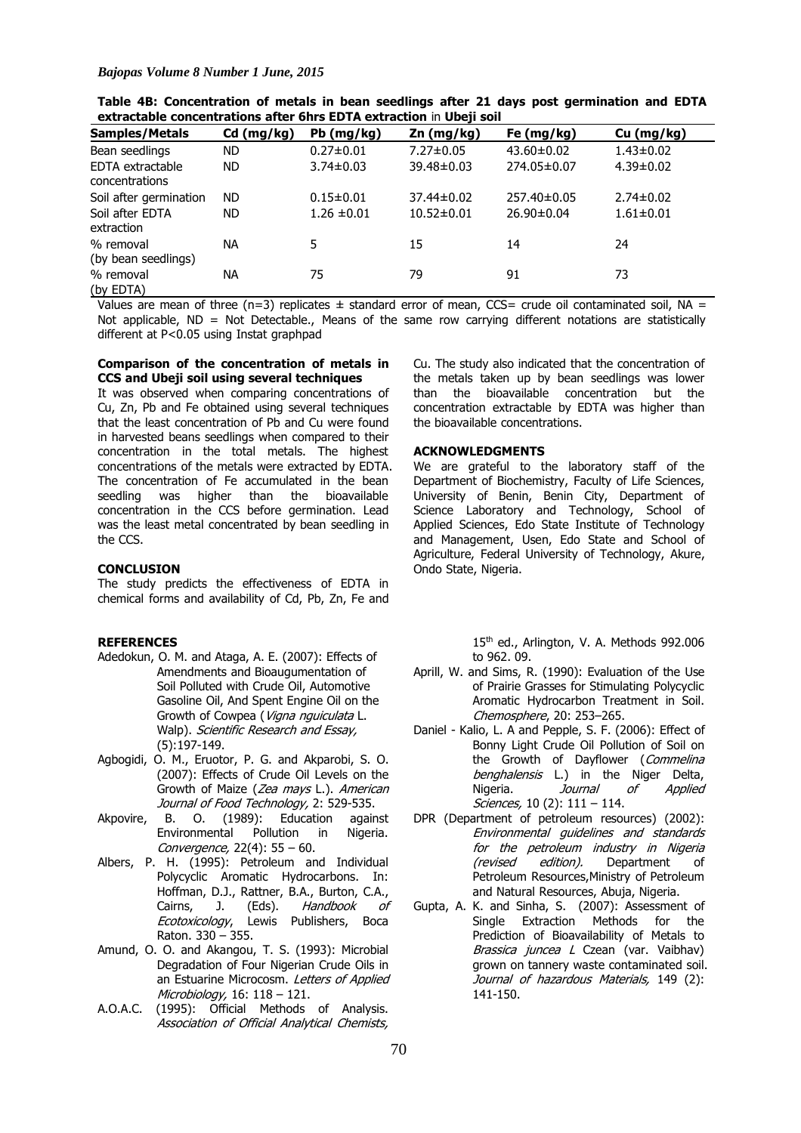| <b>Samples/Metals</b>              | Cd (mg/kg) | $Pb$ (mg/kg)    | Zn (mg/kg)       | Fe $(mg/kg)$     | Cu (mg/kg)      |
|------------------------------------|------------|-----------------|------------------|------------------|-----------------|
| Bean seedlings                     | <b>ND</b>  | $0.27 \pm 0.01$ | 7.27±0.05        | $43.60 \pm 0.02$ | $1.43 \pm 0.02$ |
| EDTA extractable<br>concentrations | <b>ND</b>  | $3.74 \pm 0.03$ | 39.48±0.03       | 274.05±0.07      | $4.39 \pm 0.02$ |
| Soil after germination             | <b>ND</b>  | $0.15 \pm 0.01$ | 37.44±0.02       | 257.40±0.05      | $2.74 \pm 0.02$ |
| Soil after EDTA<br>extraction      | <b>ND</b>  | $1.26 \pm 0.01$ | $10.52 \pm 0.01$ | $26.90 \pm 0.04$ | $1.61 \pm 0.01$ |
| % removal                          | ΝA         | 5               | 15               | 14               | 24              |
| (by bean seedlings)                |            |                 |                  |                  |                 |
| % removal<br>(by EDTA)             | NA         | 75              | 79               | 91               | 73              |

**Table 4B: Concentration of metals in bean seedlings after 21 days post germination and EDTA extractable concentrations after 6hrs EDTA extraction** in **Ubeji soil**

Values are mean of three (n=3) replicates  $\pm$  standard error of mean, CCS= crude oil contaminated soil, NA = Not applicable, ND = Not Detectable., Means of the same row carrying different notations are statistically different at P<0.05 using Instat graphpad

# **Comparison of the concentration of metals in CCS and Ubeji soil using several techniques**

It was observed when comparing concentrations of Cu, Zn, Pb and Fe obtained using several techniques that the least concentration of Pb and Cu were found in harvested beans seedlings when compared to their concentration in the total metals. The highest concentrations of the metals were extracted by EDTA. The concentration of Fe accumulated in the bean seedling was higher than the bioavailable concentration in the CCS before germination. Lead was the least metal concentrated by bean seedling in the CCS.

#### **CONCLUSION**

The study predicts the effectiveness of EDTA in chemical forms and availability of Cd, Pb, Zn, Fe and

# **REFERENCES**

- Adedokun, O. M. and Ataga, A. E. (2007): Effects of Amendments and Bioaugumentation of Soil Polluted with Crude Oil, Automotive Gasoline Oil, And Spent Engine Oil on the Growth of Cowpea (Vigna nguiculata L. Walp). Scientific Research and Essay, (5):197-149.
- Agbogidi, O. M., Eruotor, P. G. and Akparobi, S. O. (2007): Effects of Crude Oil Levels on the Growth of Maize (Zea mays L.). American Journal of Food Technology, 2: 529-535.
- Akpovire, B. O. (1989): Education against Environmental Pollution in Nigeria. Convergence, 22(4): 55 – 60.
- Albers, P. H. (1995): Petroleum and Individual Polycyclic Aromatic Hydrocarbons. In: Hoffman, D.J., Rattner, B.A., Burton, C.A., Cairns, J. (Eds). Handbook of Ecotoxicology, Lewis Publishers, Boca Raton. 330 – 355.
- Amund, O. O. and Akangou, T. S. (1993): Microbial Degradation of Four Nigerian Crude Oils in an Estuarine Microcosm. Letters of Applied Microbiology, 16: 118 – 121.
- A.O.A.C. (1995): Official Methods of Analysis. Association of Official Analytical Chemists,

Cu. The study also indicated that the concentration of the metals taken up by bean seedlings was lower than the bioavailable concentration but the concentration extractable by EDTA was higher than the bioavailable concentrations.

#### **ACKNOWLEDGMENTS**

We are grateful to the laboratory staff of the Department of Biochemistry, Faculty of Life Sciences, University of Benin, Benin City, Department of Science Laboratory and Technology, School of Applied Sciences, Edo State Institute of Technology and Management, Usen, Edo State and School of Agriculture, Federal University of Technology, Akure, Ondo State, Nigeria.

> 15th ed., Arlington, V. A. Methods 992.006 to 962. 09.

- Aprill, W. and Sims, R. (1990): Evaluation of the Use of Prairie Grasses for Stimulating Polycyclic Aromatic Hydrocarbon Treatment in Soil. Chemosphere, 20: 253–265.
- Daniel Kalio, L. A and Pepple, S. F. (2006): Effect of Bonny Light Crude Oil Pollution of Soil on the Growth of Dayflower (Commelina benghalensis L.) in the Niger Delta, Nigeria. *Journal of Applied* Sciences, 10 (2): 111 - 114.
- DPR (Department of petroleum resources) (2002): Environmental guidelines and standards for the petroleum industry in Nigeria<br>(revised edition). Department of Department of Petroleum Resources,Ministry of Petroleum and Natural Resources, Abuja, Nigeria.
- Gupta, A. K. and Sinha, S. (2007): Assessment of Single Extraction Methods for the Prediction of Bioavailability of Metals to Brassica juncea L Czean (var. Vaibhav) grown on tannery waste contaminated soil. Journal of hazardous Materials, 149 (2): 141-150.